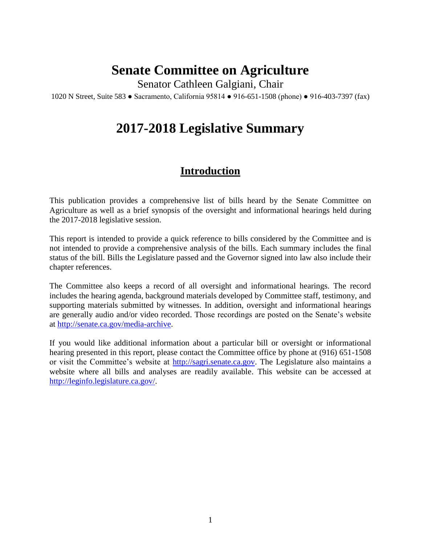# **Senate Committee on Agriculture**

Senator Cathleen Galgiani, Chair

1020 N Street, Suite 583 ● Sacramento, California 95814 ● 916-651-1508 (phone) ● 916-403-7397 (fax)

# **2017-2018 Legislative Summary**

# **Introduction**

This publication provides a comprehensive list of bills heard by the Senate Committee on Agriculture as well as a brief synopsis of the oversight and informational hearings held during the 2017-2018 legislative session.

This report is intended to provide a quick reference to bills considered by the Committee and is not intended to provide a comprehensive analysis of the bills. Each summary includes the final status of the bill. Bills the Legislature passed and the Governor signed into law also include their chapter references.

The Committee also keeps a record of all oversight and informational hearings. The record includes the hearing agenda, background materials developed by Committee staff, testimony, and supporting materials submitted by witnesses. In addition, oversight and informational hearings are generally audio and/or video recorded. Those recordings are posted on the Senate's website at [http://senate.ca.gov/media-archive.](http://senate.ca.gov/media-archive)

If you would like additional information about a particular bill or oversight or informational hearing presented in this report, please contact the Committee office by phone at (916) 651-1508 or visit the Committee's website at [http://sagri.senate.ca.gov.](http://sagri.senate.ca.gov/) The Legislature also maintains a website where all bills and analyses are readily available. This website can be accessed at [http://leginfo.legislature.ca.gov/.](http://leginfo.legislature.ca.gov/)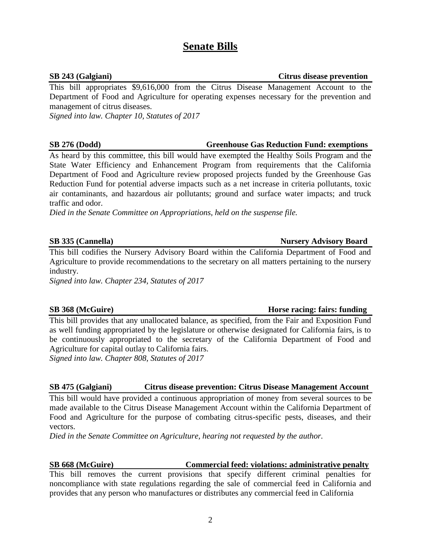# **Senate Bills**

### **SB 243 (Galgiani) Citrus disease prevention**

This bill appropriates \$9,616,000 from the Citrus Disease Management Account to the Department of Food and Agriculture for operating expenses necessary for the prevention and management of citrus diseases.

*Signed into law. Chapter 10, Statutes of 2017*

# **SB 276 (Dodd) Greenhouse Gas Reduction Fund: exemptions**

As heard by this committee, this bill would have exempted the Healthy Soils Program and the State Water Efficiency and Enhancement Program from requirements that the California Department of Food and Agriculture review proposed projects funded by the Greenhouse Gas Reduction Fund for potential adverse impacts such as a net increase in criteria pollutants, toxic air contaminants, and hazardous air pollutants; ground and surface water impacts; and truck traffic and odor.

*Died in the Senate Committee on Appropriations, held on the suspense file.*

This bill codifies the Nursery Advisory Board within the California Department of Food and Agriculture to provide recommendations to the secretary on all matters pertaining to the nursery industry.

*Signed into law. Chapter 234, Statutes of 2017*

# **SB 368 (McGuire) Horse racing: fairs: funding**

This bill provides that any unallocated balance, as specified, from the Fair and Exposition Fund as well funding appropriated by the legislature or otherwise designated for California fairs, is to be continuously appropriated to the secretary of the California Department of Food and Agriculture for capital outlay to California fairs.

*Signed into law. Chapter 808, Statutes of 2017*

# **SB 475 (Galgiani) Citrus disease prevention: Citrus Disease Management Account**

This bill would have provided a continuous appropriation of money from several sources to be made available to the Citrus Disease Management Account within the California Department of Food and Agriculture for the purpose of combating citrus-specific pests, diseases, and their vectors.

*Died in the Senate Committee on Agriculture, hearing not requested by the author.*

**SB 668 (McGuire) Commercial feed: violations: administrative penalty** This bill removes the current provisions that specify different criminal penalties for noncompliance with state regulations regarding the sale of commercial feed in California and provides that any person who manufactures or distributes any commercial feed in California

# **SB 335 (Cannella) Nursery Advisory Board**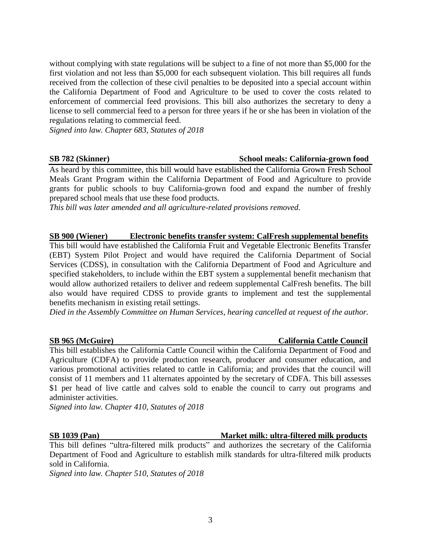without complying with state regulations will be subject to a fine of not more than \$5,000 for the first violation and not less than \$5,000 for each subsequent violation. This bill requires all funds received from the collection of these civil penalties to be deposited into a special account within the California Department of Food and Agriculture to be used to cover the costs related to enforcement of commercial feed provisions. This bill also authorizes the secretary to deny a license to sell commercial feed to a person for three years if he or she has been in violation of the regulations relating to commercial feed.

*Signed into law. Chapter 683, Statutes of 2018*

### **SB 782 (Skinner) School meals: California-grown food**

As heard by this committee, this bill would have established the California Grown Fresh School Meals Grant Program within the California Department of Food and Agriculture to provide grants for public schools to buy California-grown food and expand the number of freshly prepared school meals that use these food products.

*This bill was later amended and all agriculture-related provisions removed.*

# **SB 900 (Wiener) Electronic benefits transfer system: CalFresh supplemental benefits**

This bill would have established the California Fruit and Vegetable Electronic Benefits Transfer (EBT) System Pilot Project and would have required the California Department of Social Services (CDSS), in consultation with the California Department of Food and Agriculture and specified stakeholders, to include within the EBT system a supplemental benefit mechanism that would allow authorized retailers to deliver and redeem supplemental CalFresh benefits. The bill also would have required CDSS to provide grants to implement and test the supplemental benefits mechanism in existing retail settings.

*Died in the Assembly Committee on Human Services, hearing cancelled at request of the author.*

### **SB 965 (McGuire) California Cattle Council**

This bill establishes the California Cattle Council within the California Department of Food and Agriculture (CDFA) to provide production research, producer and consumer education, and various promotional activities related to cattle in California; and provides that the council will consist of 11 members and 11 alternates appointed by the secretary of CDFA. This bill assesses \$1 per head of live cattle and calves sold to enable the council to carry out programs and administer activities.

*Signed into law. Chapter 410, Statutes of 2018*

### **SB 1039 (Pan) Market milk: ultra-filtered milk products**

This bill defines "ultra-filtered milk products" and authorizes the secretary of the California Department of Food and Agriculture to establish milk standards for ultra-filtered milk products sold in California.

*Signed into law. Chapter 510, Statutes of 2018*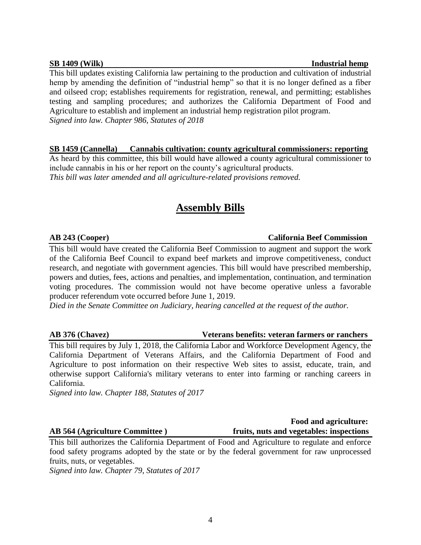### **SB 1409 (Wilk)** Industrial hemp

This bill updates existing California law pertaining to the production and cultivation of industrial hemp by amending the definition of "industrial hemp" so that it is no longer defined as a fiber and oilseed crop; establishes requirements for registration, renewal, and permitting; establishes testing and sampling procedures; and authorizes the California Department of Food and Agriculture to establish and implement an industrial hemp registration pilot program. *Signed into law. Chapter 986, Statutes of 2018*

## **SB 1459 (Cannella) Cannabis cultivation: county agricultural commissioners: reporting**

As heard by this committee, this bill would have allowed a county agricultural commissioner to include cannabis in his or her report on the county's agricultural products. *This bill was later amended and all agriculture-related provisions removed.*

# **Assembly Bills**

# **AB 243 (Cooper) California Beef Commission**

This bill would have created the California Beef Commission to augment and support the work of the California Beef Council to expand beef markets and improve competitiveness, conduct research, and negotiate with government agencies. This bill would have prescribed membership, powers and duties, fees, actions and penalties, and implementation, continuation, and termination voting procedures. The commission would not have become operative unless a favorable producer referendum vote occurred before June 1, 2019.

*Died in the Senate Committee on Judiciary, hearing cancelled at the request of the author.*

# **AB 376 (Chavez) Veterans benefits: veteran farmers or ranchers**

This bill requires by July 1, 2018, the California Labor and Workforce Development Agency, the California Department of Veterans Affairs, and the California Department of Food and Agriculture to post information on their respective Web sites to assist, educate, train, and otherwise support California's military veterans to enter into farming or ranching careers in California.

*Signed into law. Chapter 188, Statutes of 2017*

 **Food and agriculture: AB 564 (Agriculture Committee ) fruits, nuts and vegetables: inspections**

This bill authorizes the California Department of Food and Agriculture to regulate and enforce food safety programs adopted by the state or by the federal government for raw unprocessed fruits, nuts, or vegetables.

*Signed into law. Chapter 79, Statutes of 2017*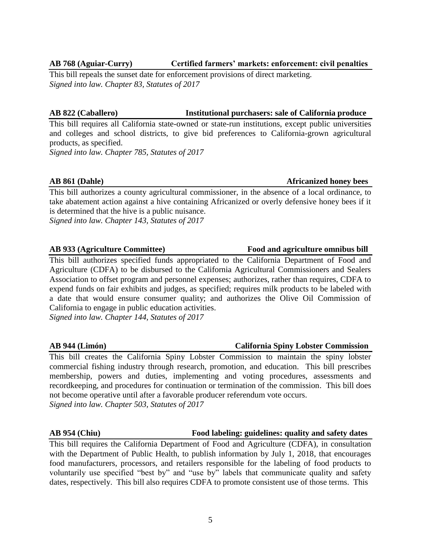### **AB 768 (Aguiar-Curry) Certified farmers' markets: enforcement: civil penalties**

This bill repeals the sunset date for enforcement provisions of direct marketing. *Signed into law. Chapter 83, Statutes of 2017*

### **AB 822 (Caballero) Institutional purchasers: sale of California produce**

This bill requires all California state-owned or state-run institutions, except public universities and colleges and school districts, to give bid preferences to California-grown agricultural products, as specified.

*Signed into law. Chapter 785, Statutes of 2017*

This bill authorizes a county agricultural commissioner, in the absence of a local ordinance, to take abatement action against a hive containing Africanized or overly defensive honey bees if it is determined that the hive is a public nuisance.

*Signed into law. Chapter 143, Statutes of 2017*

## **AB 933 (Agriculture Committee) Food and agriculture omnibus bill**

This bill authorizes specified funds appropriated to the California Department of Food and Agriculture (CDFA) to be disbursed to the California Agricultural Commissioners and Sealers Association to offset program and personnel expenses; authorizes, rather than requires, CDFA to expend funds on fair exhibits and judges, as specified; requires milk products to be labeled with a date that would ensure consumer quality; and authorizes the Olive Oil Commission of California to engage in public education activities. *Signed into law. Chapter 144, Statutes of 2017*

# This bill creates the California Spiny Lobster Commission to maintain the spiny lobster commercial fishing industry through research, promotion, and education. This bill prescribes membership, powers and duties, implementing and voting procedures, assessments and recordkeeping, and procedures for continuation or termination of the commission. This bill does not become operative until after a favorable producer referendum vote occurs. *Signed into law. Chapter 503, Statutes of 2017*

### **AB 954 (Chiu) Food labeling: guidelines: quality and safety dates**

This bill requires the California Department of Food and Agriculture (CDFA), in consultation with the Department of Public Health, to publish information by July 1, 2018, that encourages food manufacturers, processors, and retailers responsible for the labeling of food products to voluntarily use specified "best by" and "use by" labels that communicate quality and safety dates, respectively. This bill also requires CDFA to promote consistent use of those terms. This

# **AB 944 (Limón) California Spiny Lobster Commission**

# **AB** 861 (Dahle) **Africanized honey bees**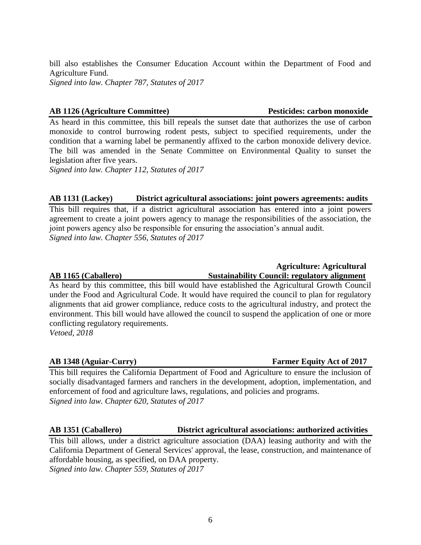bill also establishes the Consumer Education Account within the Department of Food and Agriculture Fund.

*Signed into law. Chapter 787, Statutes of 2017*

### **AB 1126 (Agriculture Committee) Pesticides: carbon monoxide**

As heard in this committee, this bill repeals the sunset date that authorizes the use of carbon monoxide to control burrowing rodent pests, subject to specified requirements, under the condition that a warning label be permanently affixed to the carbon monoxide delivery device. The bill was amended in the Senate Committee on Environmental Quality to sunset the legislation after five years.

*Signed into law. Chapter 112, Statutes of 2017*

# **AB 1131 (Lackey) District agricultural associations: joint powers agreements: audits**

This bill requires that, if a district agricultural association has entered into a joint powers agreement to create a joint powers agency to manage the responsibilities of the association, the joint powers agency also be responsible for ensuring the association's annual audit. *Signed into law. Chapter 556, Statutes of 2017*

### **Agriculture: Agricultural AB 1165 (Caballero) Sustainability Council: regulatory alignment**

As heard by this committee, this bill would have established the Agricultural Growth Council under the Food and Agricultural Code. It would have required the council to plan for regulatory alignments that aid grower compliance, reduce costs to the agricultural industry, and protect the environment. This bill would have allowed the council to suspend the application of one or more conflicting regulatory requirements. *Vetoed, 2018*

# **AB 1348 (Aguiar-Curry) Farmer Equity Act of 2017**

This bill requires the California Department of Food and Agriculture to ensure the inclusion of socially disadvantaged farmers and ranchers in the development, adoption, implementation, and enforcement of food and agriculture laws, regulations, and policies and programs. *Signed into law. Chapter 620, Statutes of 2017*

### **AB 1351 (Caballero) District agricultural associations: authorized activities**

This bill allows, under a district agriculture association (DAA) leasing authority and with the California Department of General Services' approval, the lease, construction, and maintenance of affordable housing, as specified, on DAA property.

*Signed into law. Chapter 559, Statutes of 2017*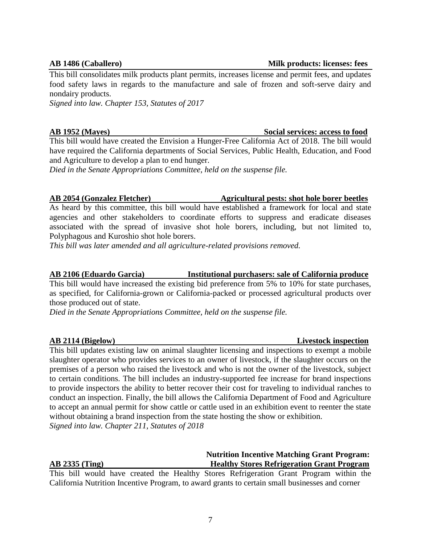### **AB 1486 (Caballero) Milk products: licenses: fees**

This bill consolidates milk products plant permits, increases license and permit fees, and updates food safety laws in regards to the manufacture and sale of frozen and soft-serve dairy and nondairy products.

*Signed into law. Chapter 153, Statutes of 2017*

### **AB 1952 (Mayes) Social services: access to food**

This bill would have created the Envision a Hunger-Free California Act of 2018. The bill would have required the California departments of Social Services, Public Health, Education, and Food and Agriculture to develop a plan to end hunger.

*Died in the Senate Appropriations Committee, held on the suspense file.*

## **AB 2054 (Gonzalez Fletcher) Agricultural pests: shot hole borer beetles**

As heard by this committee, this bill would have established a framework for local and state agencies and other stakeholders to coordinate efforts to suppress and eradicate diseases associated with the spread of invasive shot hole borers, including, but not limited to, Polyphagous and Kuroshio shot hole borers.

*This bill was later amended and all agriculture-related provisions removed.*

# **AB 2106 (Eduardo Garcia) Institutional purchasers: sale of California produce**

This bill would have increased the existing bid preference from 5% to 10% for state purchases, as specified, for California-grown or California-packed or processed agricultural products over those produced out of state.

*Died in the Senate Appropriations Committee, held on the suspense file.*

### **AB 2114 (Bigelow) Livestock inspection**

This bill updates existing law on animal slaughter licensing and inspections to exempt a mobile slaughter operator who provides services to an owner of livestock, if the slaughter occurs on the premises of a person who raised the livestock and who is not the owner of the livestock, subject to certain conditions. The bill includes an industry-supported fee increase for brand inspections to provide inspectors the ability to better recover their cost for traveling to individual ranches to conduct an inspection. Finally, the bill allows the California Department of Food and Agriculture to accept an annual permit for show cattle or cattle used in an exhibition event to reenter the state without obtaining a brand inspection from the state hosting the show or exhibition. *Signed into law. Chapter 211, Statutes of 2018*

|                                                                                                |                  |  |  |  |  |  | <b>Nutrition Incentive Matching Grant Program:</b>                                     |  |  |  |  |
|------------------------------------------------------------------------------------------------|------------------|--|--|--|--|--|----------------------------------------------------------------------------------------|--|--|--|--|
|                                                                                                | $AB$ 2335 (Ting) |  |  |  |  |  | <b>Healthy Stores Refrigeration Grant Program</b>                                      |  |  |  |  |
|                                                                                                |                  |  |  |  |  |  | This bill would have created the Healthy Stores Refrigeration Grant Program within the |  |  |  |  |
| California Nutrition Incentive Program, to award grants to certain small businesses and corner |                  |  |  |  |  |  |                                                                                        |  |  |  |  |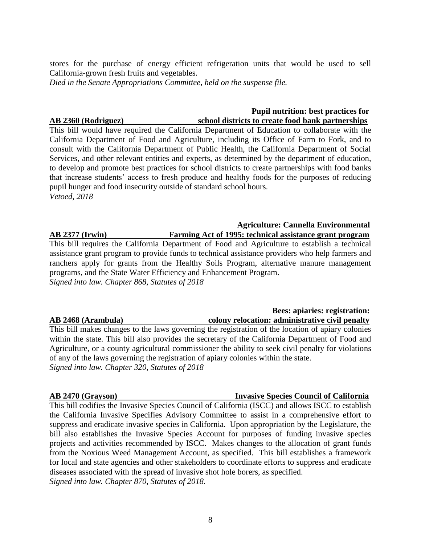stores for the purchase of energy efficient refrigeration units that would be used to sell California-grown fresh fruits and vegetables.

*Died in the Senate Appropriations Committee, held on the suspense file.*

# **Pupil nutrition: best practices for AB 2360 (Rodriguez) school districts to create food bank partnerships**

This bill would have required the California Department of Education to collaborate with the California Department of Food and Agriculture, including its Office of Farm to Fork, and to consult with the California Department of Public Health, the California Department of Social Services, and other relevant entities and experts, as determined by the department of education, to develop and promote best practices for school districts to create partnerships with food banks that increase students' access to fresh produce and healthy foods for the purposes of reducing pupil hunger and food insecurity outside of standard school hours. *Vetoed, 2018*

# **Agriculture: Cannella Environmental AB 2377 (Irwin) Farming Act of 1995: technical assistance grant program**

This bill requires the California Department of Food and Agriculture to establish a technical assistance grant program to provide funds to technical assistance providers who help farmers and ranchers apply for grants from the Healthy Soils Program, alternative manure management programs, and the State Water Efficiency and Enhancement Program. *Signed into law. Chapter 868, Statutes of 2018*

### **Bees: apiaries: registration: AB 2468 (Arambula) colony relocation: administrative civil penalty**

This bill makes changes to the laws governing the registration of the location of apiary colonies within the state. This bill also provides the secretary of the California Department of Food and Agriculture, or a county agricultural commissioner the ability to seek civil penalty for violations of any of the laws governing the registration of apiary colonies within the state. *Signed into law. Chapter 320, Statutes of 2018*

# **AB 2470 (Grayson) Invasive Species Council of California**

This bill codifies the Invasive Species Council of California (ISCC) and allows ISCC to establish the California Invasive Specifies Advisory Committee to assist in a comprehensive effort to suppress and eradicate invasive species in California. Upon appropriation by the Legislature, the bill also establishes the Invasive Species Account for purposes of funding invasive species projects and activities recommended by ISCC. Makes changes to the allocation of grant funds from the Noxious Weed Management Account, as specified. This bill establishes a framework for local and state agencies and other stakeholders to coordinate efforts to suppress and eradicate diseases associated with the spread of invasive shot hole borers, as specified. *Signed into law. Chapter 870, Statutes of 2018.*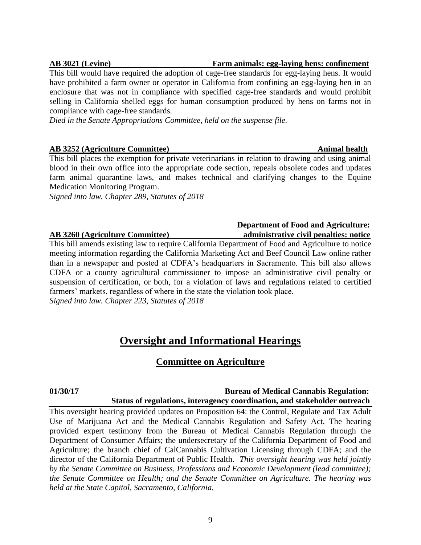### **AB 3021 (Levine) Farm animals: egg-laying hens: confinement**

This bill would have required the adoption of cage-free standards for egg-laying hens. It would have prohibited a farm owner or operator in California from confining an egg-laying hen in an enclosure that was not in compliance with specified cage-free standards and would prohibit selling in California shelled eggs for human consumption produced by hens on farms not in compliance with cage-free standards.

*Died in the Senate Appropriations Committee, held on the suspense file.*

## **AB 3252 (Agriculture Committee) Animal health**

This bill places the exemption for private veterinarians in relation to drawing and using animal blood in their own office into the appropriate code section, repeals obsolete codes and updates farm animal quarantine laws, and makes technical and clarifying changes to the Equine Medication Monitoring Program.

*Signed into law. Chapter 289, Statutes of 2018*

# **Department of Food and Agriculture: AB 3260 (Agriculture Committee) administrative civil penalties: notice**

This bill amends existing law to require California Department of Food and Agriculture to notice meeting information regarding the California Marketing Act and Beef Council Law online rather than in a newspaper and posted at CDFA's headquarters in Sacramento. This bill also allows CDFA or a county agricultural commissioner to impose an administrative civil penalty or suspension of certification, or both, for a violation of laws and regulations related to certified farmers' markets, regardless of where in the state the violation took place. *Signed into law. Chapter 223, Statutes of 2018*

# **Oversight and Informational Hearings**

# **Committee on Agriculture**

### **01/30/17 Bureau of Medical Cannabis Regulation: Status of regulations, interagency coordination, and stakeholder outreach**

This oversight hearing provided updates on Proposition 64: the Control, Regulate and Tax Adult Use of Marijuana Act and the Medical Cannabis Regulation and Safety Act. The hearing provided expert testimony from the Bureau of Medical Cannabis Regulation through the Department of Consumer Affairs; the undersecretary of the California Department of Food and Agriculture; the branch chief of CalCannabis Cultivation Licensing through CDFA; and the director of the California Department of Public Health. *This oversight hearing was held jointly by the Senate Committee on Business, Professions and Economic Development (lead committee); the Senate Committee on Health; and the Senate Committee on Agriculture. The hearing was held at the State Capitol, Sacramento, California.*